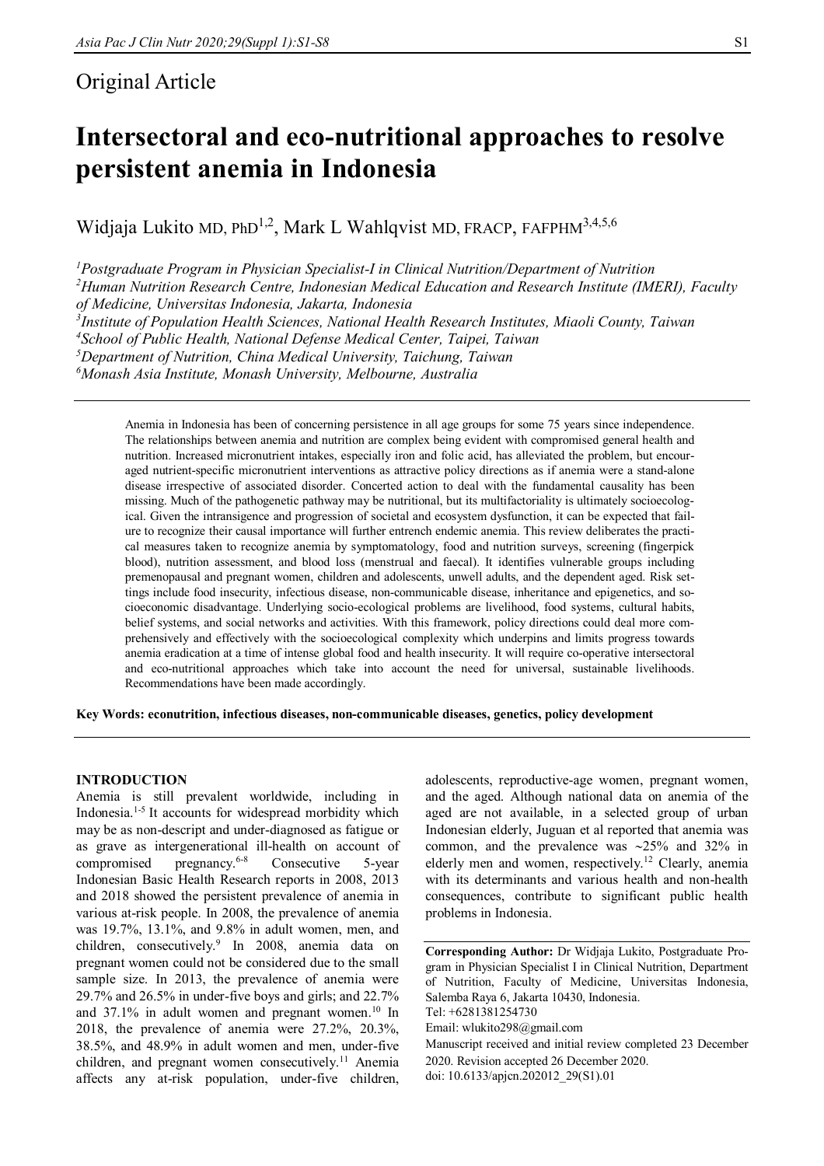# Original Article

# **Intersectoral and eco-nutritional approaches to resolve persistent anemia in Indonesia**

Widjaja Lukito MD, PhD<sup>1,2</sup>, Mark L Wahlqvist MD, FRACP, FAFPHM<sup>3,4,5,6</sup>

*Postgraduate Program in Physician Specialist-I in Clinical Nutrition/Department of Nutrition Human Nutrition Research Centre, Indonesian Medical Education and Research Institute (IMERI), Faculty of Medicine, Universitas Indonesia, Jakarta, Indonesia Institute of Population Health Sciences, National Health Research Institutes, Miaoli County, Taiwan School of Public Health, National Defense Medical Center, Taipei, Taiwan Department of Nutrition, China Medical University, Taichung, Taiwan Monash Asia Institute, Monash University, Melbourne, Australia*

Anemia in Indonesia has been of concerning persistence in all age groups for some 75 years since independence. The relationships between anemia and nutrition are complex being evident with compromised general health and nutrition. Increased micronutrient intakes, especially iron and folic acid, has alleviated the problem, but encouraged nutrient-specific micronutrient interventions as attractive policy directions as if anemia were a stand-alone disease irrespective of associated disorder. Concerted action to deal with the fundamental causality has been missing. Much of the pathogenetic pathway may be nutritional, but its multifactoriality is ultimately socioecological. Given the intransigence and progression of societal and ecosystem dysfunction, it can be expected that failure to recognize their causal importance will further entrench endemic anemia. This review deliberates the practical measures taken to recognize anemia by symptomatology, food and nutrition surveys, screening (fingerpick blood), nutrition assessment, and blood loss (menstrual and faecal). It identifies vulnerable groups including premenopausal and pregnant women, children and adolescents, unwell adults, and the dependent aged. Risk settings include food insecurity, infectious disease, non-communicable disease, inheritance and epigenetics, and socioeconomic disadvantage. Underlying socio-ecological problems are livelihood, food systems, cultural habits, belief systems, and social networks and activities. With this framework, policy directions could deal more comprehensively and effectively with the socioecological complexity which underpins and limits progress towards anemia eradication at a time of intense global food and health insecurity. It will require co-operative intersectoral and eco-nutritional approaches which take into account the need for universal, sustainable livelihoods. Recommendations have been made accordingly.

**Key Words: econutrition, infectious diseases, non-communicable diseases, genetics, policy development**

# **INTRODUCTION**

Anemia is still prevalent worldwide, including in Indonesia.1-5 It accounts for widespread morbidity which may be as non-descript and under-diagnosed as fatigue or as grave as intergenerational ill-health on account of compromised pregnancy.6-8 Consecutive 5-year Indonesian Basic Health Research reports in 2008, 2013 and 2018 showed the persistent prevalence of anemia in various at-risk people. In 2008, the prevalence of anemia was 19.7%, 13.1%, and 9.8% in adult women, men, and children, consecutively.<sup>9</sup> In 2008, anemia data on pregnant women could not be considered due to the small sample size. In 2013, the prevalence of anemia were 29.7% and 26.5% in under-five boys and girls; and 22.7% and 37.1% in adult women and pregnant women.<sup>10</sup> In 2018, the prevalence of anemia were 27.2%, 20.3%, 38.5%, and 48.9% in adult women and men, under-five children, and pregnant women consecutively.<sup>11</sup> Anemia affects any at-risk population, under-five children,

adolescents, reproductive-age women, pregnant women, and the aged. Although national data on anemia of the aged are not available, in a selected group of urban Indonesian elderly, Juguan et al reported that anemia was common, and the prevalence was  $\sim$ 25% and 32% in elderly men and women, respectively.<sup>12</sup> Clearly, anemia with its determinants and various health and non-health consequences, contribute to significant public health problems in Indonesia.

**Corresponding Author:** Dr Widjaja Lukito, Postgraduate Program in Physician Specialist I in Clinical Nutrition, Department of Nutrition, Faculty of Medicine, Universitas Indonesia, Salemba Raya 6, Jakarta 10430, Indonesia.

Manuscript received and initial review completed 23 December 2020. Revision accepted 26 December 2020. doi: 10.6133/apjcn.202012\_29(S1).01

Tel: +6281381254730

Email: wlukito298@gmail.com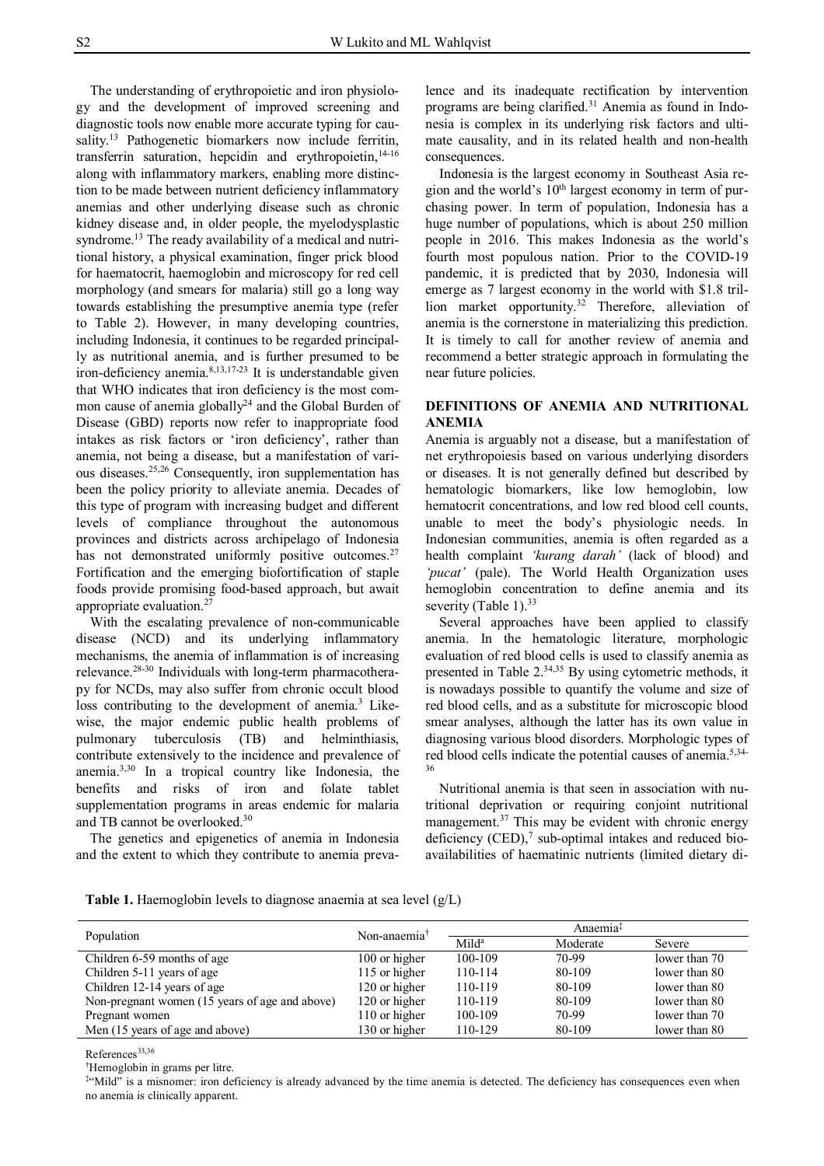The understanding of erythropoietic and iron physiology and the development of improved screening and diagnostic tools now enable more accurate typing for causality.<sup>13</sup> Pathogenetic biomarkers now include ferritin, transferrin saturation, hepcidin and erythropoietin,<sup>14-16</sup> along with inflammatory markers, enabling more distinction to be made between nutrient deficiency inflammatory anemias and other underlying disease such as chronic kidney disease and, in older people, the myelodysplastic syndrome.<sup>13</sup> The ready availability of a medical and nutritional history, a physical examination, finger prick blood for haematocrit, haemoglobin and microscopy for red cell morphology (and smears for malaria) still go a long way towards establishing the presumptive anemia type (refer to Table 2). However, in many developing countries, including Indonesia, it continues to be regarded principally as nutritional anemia, and is further presumed to be iron-deficiency anemia. 8,13,17-23 It is understandable given that WHO indicates that iron deficiency is the most common cause of anemia globally<sup>24</sup> and the Global Burden of Disease (GBD) reports now refer to inappropriate food intakes as risk factors or 'iron deficiency', rather than anemia, not being a disease, but a manifestation of various diseases.25,26 Consequently, iron supplementation has been the policy priority to alleviate anemia. Decades of this type of program with increasing budget and different levels of compliance throughout the autonomous provinces and districts across archipelago of Indonesia has not demonstrated uniformly positive outcomes. $27$ Fortification and the emerging biofortification of staple foods provide promising food-based approach, but await appropriate evaluation.<sup>27</sup>

With the escalating prevalence of non-communicable disease (NCD) and its underlying inflammatory mechanisms, the anemia of inflammation is of increasing relevance.<sup>28-30</sup> Individuals with long-term pharmacotherapy for NCDs, may also suffer from chronic occult blood loss contributing to the development of anemia.<sup>3</sup> Likewise, the major endemic public health problems of pulmonary tuberculosis (TB) and helminthiasis, contribute extensively to the incidence and prevalence of anemia.3,30 In a tropical country like Indonesia, the benefits and risks of iron and folate tablet supplementation programs in areas endemic for malaria and TB cannot be overlooked. 30

The genetics and epigenetics of anemia in Indonesia and the extent to which they contribute to anemia prevalence and its inadequate rectification by intervention programs are being clarified. <sup>31</sup> Anemia as found in Indonesia is complex in its underlying risk factors and ultimate causality, and in its related health and non-health consequences.

Indonesia is the largest economy in Southeast Asia region and the world's 10th largest economy in term of purchasing power. In term of population, Indonesia has a huge number of populations, which is about 250 million people in 2016. This makes Indonesia as the world's fourth most populous nation. Prior to the COVID-19 pandemic, it is predicted that by 2030, Indonesia will emerge as 7 largest economy in the world with \$1.8 trillion market opportunity.<sup>32</sup> Therefore, alleviation of anemia is the cornerstone in materializing this prediction. It is timely to call for another review of anemia and recommend a better strategic approach in formulating the near future policies.

# **DEFINITIONS OF ANEMIA AND NUTRITIONAL ANEMIA**

Anemia is arguably not a disease, but a manifestation of net erythropoiesis based on various underlying disorders or diseases. It is not generally defined but described by hematologic biomarkers, like low hemoglobin, low hematocrit concentrations, and low red blood cell counts, unable to meet the body's physiologic needs. In Indonesian communities, anemia is often regarded as a health complaint *'kurang darah'* (lack of blood) and *'pucat'* (pale). The World Health Organization uses hemoglobin concentration to define anemia and its severity (Table 1). $33$ 

Several approaches have been applied to classify anemia. In the hematologic literature, morphologic evaluation of red blood cells is used to classify anemia as presented in Table 2.34,35 By using cytometric methods, it is nowadays possible to quantify the volume and size of red blood cells, and as a substitute for microscopic blood smear analyses, although the latter has its own value in diagnosing various blood disorders. Morphologic types of red blood cells indicate the potential causes of anemia.<sup>5,34-</sup> 36

Nutritional anemia is that seen in association with nutritional deprivation or requiring conjoint nutritional management. $37$  This may be evident with chronic energy deficiency  $(CED)$ ,<sup>7</sup> sub-optimal intakes and reduced bioavailabilities of haematinic nutrients (limited dietary di-

**Table 1.** Haemoglobin levels to diagnose anaemia at sea level (g/L)

| Population                                     | Non-anaemia <sup>†</sup> | Anaemia <sup>‡</sup> |          |               |
|------------------------------------------------|--------------------------|----------------------|----------|---------------|
|                                                |                          | $Mild^a$             | Moderate | Severe        |
| Children 6-59 months of age                    | 100 or higher            | 100-109              | 70-99    | lower than 70 |
| Children 5-11 years of age                     | 115 or higher            | 110-114              | 80-109   | lower than 80 |
| Children 12-14 years of age                    | 120 or higher            | 110-119              | 80-109   | lower than 80 |
| Non-pregnant women (15 years of age and above) | 120 or higher            | 110-119              | 80-109   | lower than 80 |
| Pregnant women                                 | 110 or higher            | 100-109              | 70-99    | lower than 70 |
| Men (15 years of age and above)                | 130 or higher            | 110-129              | 80-109   | lower than 80 |

References<sup>33,36</sup>

†Hemoglobin in grams per litre.

‡ "Mild" is a misnomer: iron deficiency is already advanced by the time anemia is detected. The deficiency has consequences even when no anemia is clinically apparent.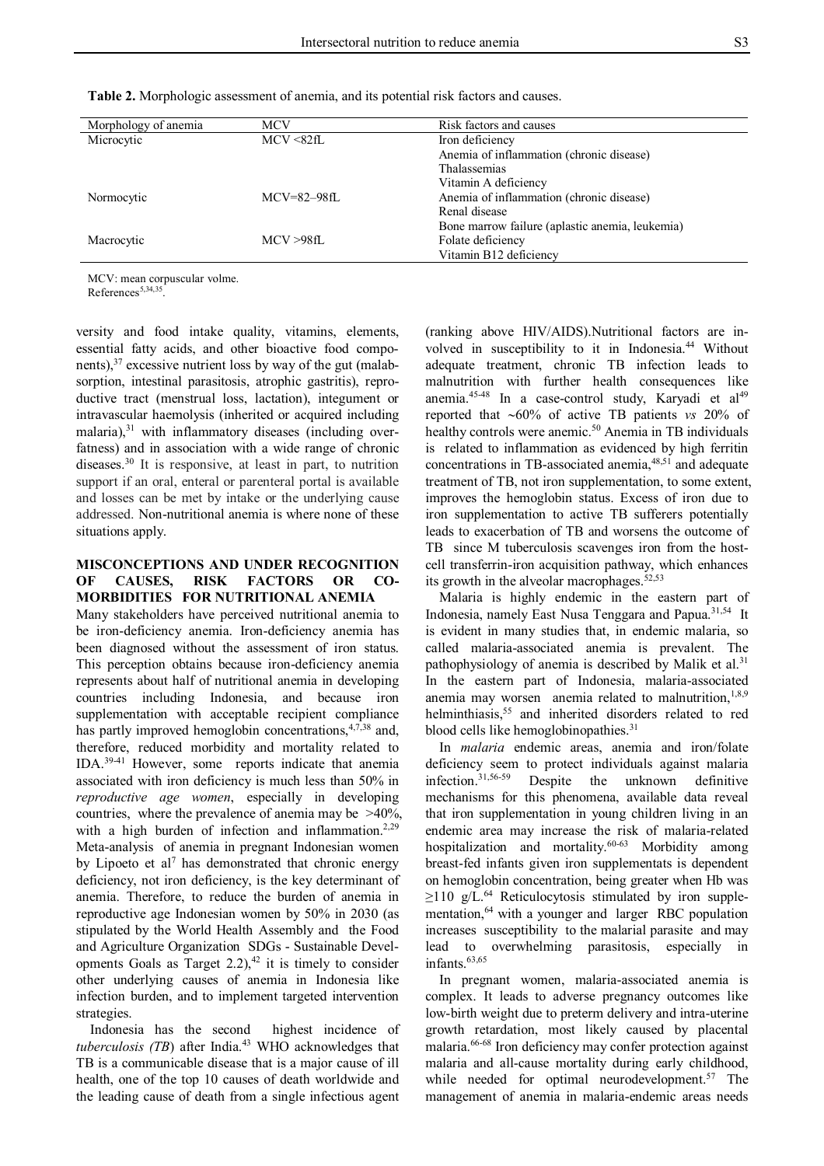| <b>Table 2.</b> Morphologic assessment of anemia, and its potential risk factors and causes. |  |  |  |
|----------------------------------------------------------------------------------------------|--|--|--|
|----------------------------------------------------------------------------------------------|--|--|--|

| Morphology of anemia | MCV               | Risk factors and causes                         |
|----------------------|-------------------|-------------------------------------------------|
| Microcytic           | MCV < 82fL        | Iron deficiency                                 |
|                      |                   | Anemia of inflammation (chronic disease)        |
|                      |                   | <b>Thalassemias</b>                             |
|                      |                   | Vitamin A deficiency                            |
| Normocytic           | $MCV = 82 - 98fL$ | Anemia of inflammation (chronic disease)        |
|                      |                   | Renal disease                                   |
|                      |                   | Bone marrow failure (aplastic anemia, leukemia) |
| Macrocytic           | MCV > 98fL        | Folate deficiency                               |
|                      |                   | Vitamin B12 deficiency                          |

MCV: mean corpuscular volme.

References<sup>5,34,35</sup>.

versity and food intake quality, vitamins, elements, essential fatty acids, and other bioactive food components),<sup>37</sup> excessive nutrient loss by way of the gut (malabsorption, intestinal parasitosis, atrophic gastritis), reproductive tract (menstrual loss, lactation), integument or intravascular haemolysis (inherited or acquired including malaria), $31$  with inflammatory diseases (including overfatness) and in association with a wide range of chronic diseases.<sup>30</sup> It is responsive, at least in part, to nutrition support if an oral, enteral or parenteral portal is available and losses can be met by intake or the underlying cause addressed. Non-nutritional anemia is where none of these situations apply.

### **MISCONCEPTIONS AND UNDER RECOGNITION OF CAUSES, RISK FACTORS OR CO-MORBIDITIES FOR NUTRITIONAL ANEMIA**

Many stakeholders have perceived nutritional anemia to be iron-deficiency anemia. Iron-deficiency anemia has been diagnosed without the assessment of iron status. This perception obtains because iron-deficiency anemia represents about half of nutritional anemia in developing countries including Indonesia, and because iron supplementation with acceptable recipient compliance has partly improved hemoglobin concentrations,<sup>4,7,38</sup> and, therefore, reduced morbidity and mortality related to IDA. 39-41 However, some reports indicate that anemia associated with iron deficiency is much less than 50% in *reproductive age women*, especially in developing countries, where the prevalence of anemia may be >40%, with a high burden of infection and inflammation.<sup>2,29</sup> Meta-analysis of anemia in pregnant Indonesian women by Lipoeto et al<sup>7</sup> has demonstrated that chronic energy deficiency, not iron deficiency, is the key determinant of anemia. Therefore, to reduce the burden of anemia in reproductive age Indonesian women by 50% in 2030 (as stipulated by the World Health Assembly and the Food and Agriculture Organization SDGs - Sustainable Developments Goals as Target  $2.2$ ),<sup>42</sup> it is timely to consider other underlying causes of anemia in Indonesia like infection burden, and to implement targeted intervention strategies.

Indonesia has the second highest incidence of *tuberculosis (TB)* after India.<sup>43</sup> WHO acknowledges that TB is a communicable disease that is a major cause of ill health, one of the top 10 causes of death worldwide and the leading cause of death from a single infectious agent (ranking above HIV/AIDS).Nutritional factors are involved in susceptibility to it in Indonesia.<sup>44</sup> Without adequate treatment, chronic TB infection leads to malnutrition with further health consequences like anemia.<sup>4548</sup> In a case-control study, Karyadi et al<sup>49</sup> reported that 60% of active TB patients *vs* 20% of healthy controls were anemic.<sup>50</sup> Anemia in TB individuals is related to inflammation as evidenced by high ferritin concentrations in TB-associated anemia, 48,51 and adequate treatment of TB, not iron supplementation, to some extent, improves the hemoglobin status. Excess of iron due to iron supplementation to active TB sufferers potentially leads to exacerbation of TB and worsens the outcome of TB since M tuberculosis scavenges iron from the hostcell transferrin-iron acquisition pathway, which enhances its growth in the alveolar macrophages.<sup>52,53</sup>

Malaria is highly endemic in the eastern part of Indonesia, namely East Nusa Tenggara and Papua.<sup>31,54</sup> It is evident in many studies that, in endemic malaria, so called malaria-associated anemia is prevalent. The pathophysiology of anemia is described by Malik et al.<sup>31</sup> In the eastern part of Indonesia, malaria-associated anemia may worsen anemia related to malnutrition, $1,8,9$ helminthiasis,<sup>55</sup> and inherited disorders related to red blood cells like hemoglobinopathies.<sup>31</sup>

In *malaria* endemic areas, anemia and iron/folate deficiency seem to protect individuals against malaria<br>infection.<sup>31,56-59</sup> Despite the unknown definitive Despite the unknown definitive mechanisms for this phenomena, available data reveal that iron supplementation in young children living in an endemic area may increase the risk of malaria-related hospitalization and mortality.60-63 Morbidity among breast-fed infants given iron supplementats is dependent on hemoglobin concentration, being greater when Hb was ≥110 g/L. <sup>64</sup> Reticulocytosis stimulated by iron supplementation,<sup>64</sup> with a younger and larger RBC population increases susceptibility to the malarial parasite and may lead to overwhelming parasitosis, especially in  $in$ fants. $\rm ^{63,65}$ 

In pregnant women, malaria-associated anemia is complex. It leads to adverse pregnancy outcomes like low-birth weight due to preterm delivery and intra-uterine growth retardation, most likely caused by placental malaria.66-68 Iron deficiency may confer protection against malaria and all-cause mortality during early childhood, while needed for optimal neurodevelopment. $57$  The management of anemia in malaria-endemic areas needs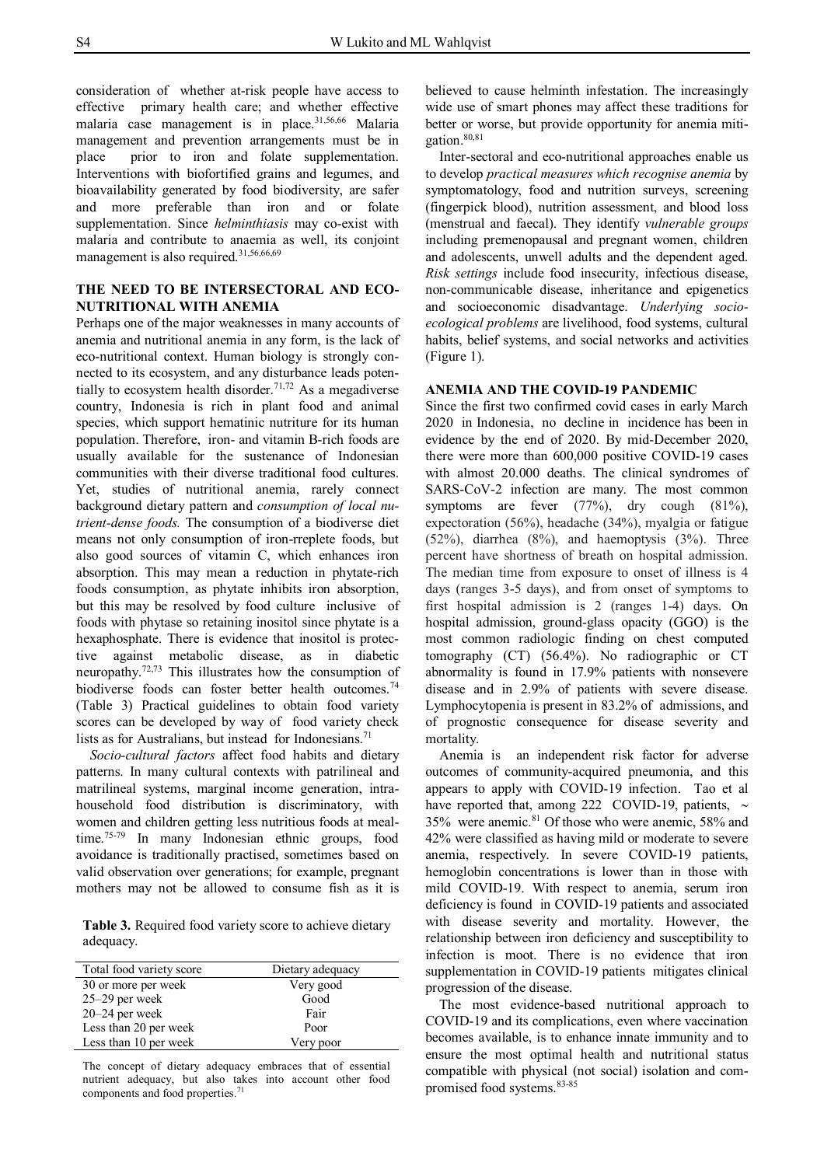consideration of whether at-risk people have access to effective primary health care; and whether effective malaria case management is in place.31,56,66 Malaria management and prevention arrangements must be in place prior to iron and folate supplementation. Interventions with biofortified grains and legumes, and bioavailability generated by food biodiversity, are safer and more preferable than iron and or folate supplementation. Since *helminthiasis* may co-exist with malaria and contribute to anaemia as well, its conjoint management is also required.<sup>31,56,66,69</sup>

### **THE NEED TO BE INTERSECTORAL AND ECO-NUTRITIONAL WITH ANEMIA**

Perhaps one of the major weaknesses in many accounts of anemia and nutritional anemia in any form, is the lack of eco-nutritional context. Human biology is strongly connected to its ecosystem, and any disturbance leads potentially to ecosystem health disorder. 71,72 As a megadiverse country, Indonesia is rich in plant food and animal species, which support hematinic nutriture for its human population. Therefore, iron- and vitamin B-rich foods are usually available for the sustenance of Indonesian communities with their diverse traditional food cultures. Yet, studies of nutritional anemia, rarely connect background dietary pattern and *consumption of local nutrient-dense foods.* The consumption of a biodiverse diet means not only consumption of iron-rreplete foods, but also good sources of vitamin C, which enhances iron absorption. This may mean a reduction in phytate-rich foods consumption, as phytate inhibits iron absorption, but this may be resolved by food culture inclusive of foods with phytase so retaining inositol since phytate is a hexaphosphate. There is evidence that inositol is protective against metabolic disease, as in diabetic neuropathy.72,73 This illustrates how the consumption of biodiverse foods can foster better health outcomes. 74 (Table 3) Practical guidelines to obtain food variety scores can be developed by way of food variety check lists as for Australians, but instead for Indonesians.<sup>71</sup>

*Socio-cultural factors* affect food habits and dietary patterns. In many cultural contexts with patrilineal and matrilineal systems, marginal income generation, intrahousehold food distribution is discriminatory, with women and children getting less nutritious foods at mealtime.<sup>75-79</sup> In many Indonesian ethnic groups, food avoidance is traditionally practised, sometimes based on valid observation over generations; for example, pregnant mothers may not be allowed to consume fish as it is

**Table 3.** Required food variety score to achieve dietary adequacy.

| Total food variety score | Dietary adequacy |
|--------------------------|------------------|
| 30 or more per week      | Very good        |
| 25-29 per week           | Good             |
| $20-24$ per week         | Fair             |
| Less than 20 per week    | Poor             |
| Less than 10 per week    | Very poor        |

The concept of dietary adequacy embraces that of essential nutrient adequacy, but also takes into account other food components and food properties.<sup>71</sup>

believed to cause helminth infestation. The increasingly wide use of smart phones may affect these traditions for better or worse, but provide opportunity for anemia mitigation.80,81

Inter-sectoral and eco-nutritional approaches enable us to develop *practical measures which recognise anemia* by symptomatology, food and nutrition surveys, screening (fingerpick blood), nutrition assessment, and blood loss (menstrual and faecal). They identify *vulnerable groups* including premenopausal and pregnant women, children and adolescents, unwell adults and the dependent aged. *Risk settings* include food insecurity, infectious disease, non-communicable disease, inheritance and epigenetics and socioeconomic disadvantage. *Underlying socioecological problems* are livelihood, food systems, cultural habits, belief systems, and social networks and activities (Figure 1).

## **ANEMIA AND THE COVID-19 PANDEMIC**

Since the first two confirmed covid cases in early March 2020 in Indonesia, no decline in incidence has been in evidence by the end of 2020. By mid-December 2020, there were more than 600,000 positive COVID-19 cases with almost 20.000 deaths. The clinical syndromes of SARS-CoV-2 infection are many. The most common symptoms are fever (77%), dry cough (81%), expectoration (56%), headache (34%), myalgia or fatigue (52%), diarrhea (8%), and haemoptysis (3%). Three percent have shortness of breath on hospital admission. The median time from exposure to onset of illness is 4 days (ranges 3-5 days), and from onset of symptoms to first hospital admission is 2 (ranges 1-4) days. On hospital admission, ground-glass opacity (GGO) is the most common radiologic finding on chest computed tomography (CT) (56.4%). No radiographic or CT abnormality is found in 17.9% patients with nonsevere disease and in 2.9% of patients with severe disease. Lymphocytopenia is present in 83.2% of admissions, and of prognostic consequence for disease severity and mortality.

Anemia is an independent risk factor for adverse outcomes of community-acquired pneumonia, and this appears to apply with COVID-19 infection. Tao et al have reported that, among 222 COVID-19, patients,  $\sim$ 35% were anemic.<sup>81</sup> Of those who were anemic, 58% and 42% were classified as having mild or moderate to severe anemia, respectively. In severe COVID-19 patients, hemoglobin concentrations is lower than in those with mild COVID-19. With respect to anemia, serum iron deficiency is found in COVID-19 patients and associated with disease severity and mortality. However, the relationship between iron deficiency and susceptibility to infection is moot. There is no evidence that iron supplementation in COVID-19 patients mitigates clinical progression of the disease.

The most evidence-based nutritional approach to COVID-19 and its complications, even where vaccination becomes available, is to enhance innate immunity and to ensure the most optimal health and nutritional status compatible with physical (not social) isolation and compromised food systems.<sup>83-85</sup>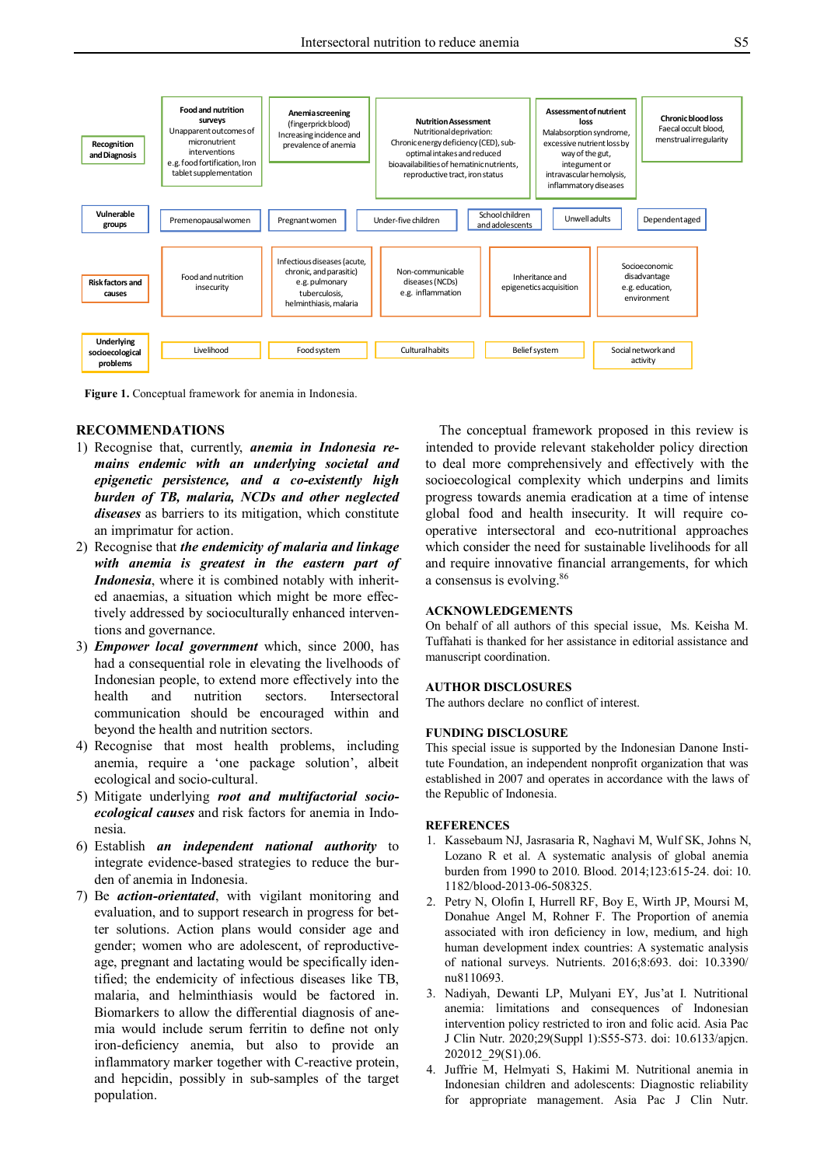

**Figure 1.** Conceptual framework for anemia in Indonesia.

#### **RECOMMENDATIONS**

- 1) Recognise that, currently, *anemia in Indonesia remains endemic with an underlying societal and epigenetic persistence, and a co-existently high burden of TB, malaria, NCDs and other neglected diseases* as barriers to its mitigation, which constitute an imprimatur for action.
- 2) Recognise that *the endemicity of malaria and linkage with anemia is greatest in the eastern part of Indonesia*, where it is combined notably with inherited anaemias, a situation which might be more effectively addressed by socioculturally enhanced interventions and governance.
- 3) *Empower local government* which, since 2000, has had a consequential role in elevating the livelhoods of Indonesian people, to extend more effectively into the health and nutrition sectors. Intersectoral communication should be encouraged within and beyond the health and nutrition sectors.
- 4) Recognise that most health problems, including anemia, require a 'one package solution', albeit ecological and socio-cultural.
- 5) Mitigate underlying *root and multifactorial socioecological causes* and risk factors for anemia in Indonesia.
- 6) Establish *an independent national authority* to integrate evidence-based strategies to reduce the burden of anemia in Indonesia.
- 7) Be *action-orientated*, with vigilant monitoring and evaluation, and to support research in progress for better solutions. Action plans would consider age and gender; women who are adolescent, of reproductiveage, pregnant and lactating would be specifically identified; the endemicity of infectious diseases like TB, malaria, and helminthiasis would be factored in. Biomarkers to allow the differential diagnosis of anemia would include serum ferritin to define not only iron-deficiency anemia, but also to provide an inflammatory marker together with C-reactive protein, and hepcidin, possibly in sub-samples of the target population.

The conceptual framework proposed in this review is intended to provide relevant stakeholder policy direction to deal more comprehensively and effectively with the socioecological complexity which underpins and limits progress towards anemia eradication at a time of intense global food and health insecurity. It will require cooperative intersectoral and eco-nutritional approaches which consider the need for sustainable livelihoods for all and require innovative financial arrangements, for which a consensus is evolving.<sup>86</sup>

#### **ACKNOWLEDGEMENTS**

On behalf of all authors of this special issue, Ms. Keisha M. Tuffahati is thanked for her assistance in editorial assistance and manuscript coordination.

#### **AUTHOR DISCLOSURES**

The authors declare no conflict of interest.

### **FUNDING DISCLOSURE**

This special issue is supported by the Indonesian Danone Institute Foundation, an independent nonprofit organization that was established in 2007 and operates in accordance with the laws of the Republic of Indonesia.

#### **REFERENCES**

- 1. Kassebaum NJ, Jasrasaria R, Naghavi M, Wulf SK, Johns N, Lozano R et al. A systematic analysis of global anemia burden from 1990 to 2010. Blood. 2014;123:615-24. doi: 10. 1182/blood-2013-06-508325.
- 2. Petry N, Olofin I, Hurrell RF, Boy E, Wirth JP, Moursi M, Donahue Angel M, Rohner F. The Proportion of anemia associated with iron deficiency in low, medium, and high human development index countries: A systematic analysis of national surveys. Nutrients. 2016;8:693. doi: 10.3390/ nu8110693.
- 3. Nadiyah, Dewanti LP, Mulyani EY, Jus'at I. Nutritional anemia: limitations and consequences of Indonesian intervention policy restricted to iron and folic acid. Asia Pac J Clin Nutr. 2020;29(Suppl 1):S55-S73. doi: 10.6133/apjcn. 202012\_29(S1).06.
- 4. Juffrie M, Helmyati S, Hakimi M. Nutritional anemia in Indonesian children and adolescents: Diagnostic reliability for appropriate management. Asia Pac J Clin Nutr.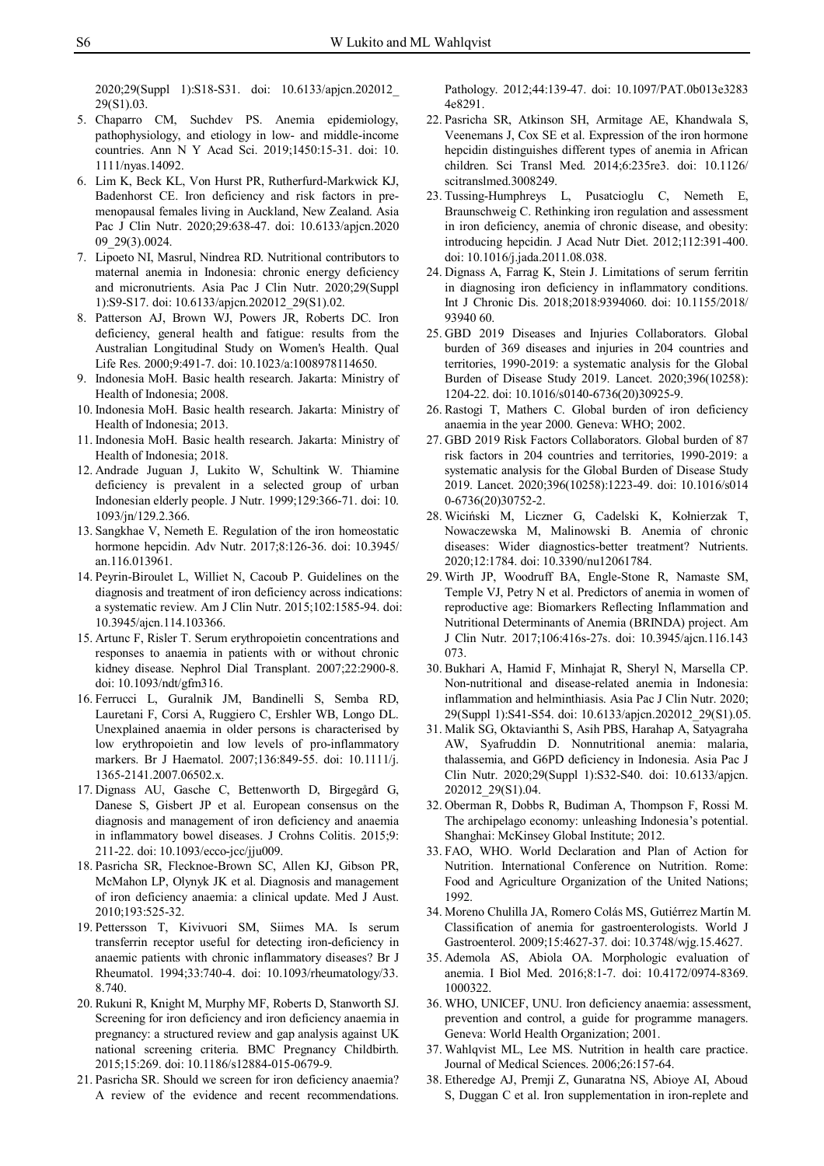2020;29(Suppl 1):S18-S31. doi: 10.6133/apjcn.202012\_ 29(S1).03.

- 5. Chaparro CM, Suchdev PS. Anemia epidemiology, pathophysiology, and etiology in low- and middle-income countries. Ann N Y Acad Sci. 2019;1450:15-31. doi: 10. 1111/nyas.14092.
- 6. Lim K, Beck KL, Von Hurst PR, Rutherfurd-Markwick KJ, Badenhorst CE. Iron deficiency and risk factors in premenopausal females living in Auckland, New Zealand. Asia Pac J Clin Nutr. 2020;29:638-47. doi: 10.6133/apjcn.2020 09\_29(3).0024.
- 7. Lipoeto NI, Masrul, Nindrea RD. Nutritional contributors to maternal anemia in Indonesia: chronic energy deficiency and micronutrients. Asia Pac J Clin Nutr. 2020;29(Suppl 1):S9-S17. doi: 10.6133/apjcn.202012\_29(S1).02.
- 8. Patterson AJ, Brown WJ, Powers JR, Roberts DC. Iron deficiency, general health and fatigue: results from the Australian Longitudinal Study on Women's Health. Qual Life Res. 2000;9:491-7. doi: 10.1023/a:1008978114650.
- 9. Indonesia MoH. Basic health research. Jakarta: Ministry of Health of Indonesia; 2008.
- 10. Indonesia MoH. Basic health research. Jakarta: Ministry of Health of Indonesia; 2013.
- 11. Indonesia MoH. Basic health research. Jakarta: Ministry of Health of Indonesia; 2018.
- 12. Andrade Juguan J, Lukito W, Schultink W. Thiamine deficiency is prevalent in a selected group of urban Indonesian elderly people. J Nutr. 1999;129:366-71. doi: 10. 1093/jn/129.2.366.
- 13. Sangkhae V, Nemeth E. Regulation of the iron homeostatic hormone hepcidin. Adv Nutr. 2017;8:126-36. doi: 10.3945/ an.116.013961.
- 14. Peyrin-Biroulet L, Williet N, Cacoub P. Guidelines on the diagnosis and treatment of iron deficiency across indications: a systematic review. Am J Clin Nutr. 2015;102:1585-94. doi: 10.3945/ajcn.114.103366.
- 15. Artunc F, Risler T. Serum erythropoietin concentrations and responses to anaemia in patients with or without chronic kidney disease. Nephrol Dial Transplant. 2007;22:2900-8. doi: 10.1093/ndt/gfm316.
- 16. Ferrucci L, Guralnik JM, Bandinelli S, Semba RD, Lauretani F, Corsi A, Ruggiero C, Ershler WB, Longo DL. Unexplained anaemia in older persons is characterised by low erythropoietin and low levels of pro-inflammatory markers. Br J Haematol. 2007;136:849-55. doi: 10.1111/j. 1365-2141.2007.06502.x.
- 17. Dignass AU, Gasche C, Bettenworth D, Birgegård G, Danese S, Gisbert JP et al. European consensus on the diagnosis and management of iron deficiency and anaemia in inflammatory bowel diseases. J Crohns Colitis. 2015;9: 211-22. doi: 10.1093/ecco-jcc/jju009.
- 18. Pasricha SR, Flecknoe-Brown SC, Allen KJ, Gibson PR, McMahon LP, Olynyk JK et al. Diagnosis and management of iron deficiency anaemia: a clinical update. Med J Aust. 2010;193:525-32.
- 19. Pettersson T, Kivivuori SM, Siimes MA. Is serum transferrin receptor useful for detecting iron-deficiency in anaemic patients with chronic inflammatory diseases? Br J Rheumatol. 1994;33:740-4. doi: 10.1093/rheumatology/33. 8.740.
- 20. Rukuni R, Knight M, Murphy MF, Roberts D, Stanworth SJ. Screening for iron deficiency and iron deficiency anaemia in pregnancy: a structured review and gap analysis against UK national screening criteria. BMC Pregnancy Childbirth. 2015;15:269. doi: 10.1186/s12884-015-0679-9.
- 21. Pasricha SR. Should we screen for iron deficiency anaemia? A review of the evidence and recent recommendations.

Pathology. 2012;44:139-47. doi: 10.1097/PAT.0b013e3283 4e8291.

- 22. Pasricha SR, Atkinson SH, Armitage AE, Khandwala S, Veenemans J, Cox SE et al. Expression of the iron hormone hepcidin distinguishes different types of anemia in African children. Sci Transl Med. 2014;6:235re3. doi: 10.1126/ scitranslmed.3008249.
- 23. Tussing-Humphreys L, Pusatcioglu C, Nemeth E, Braunschweig C. Rethinking iron regulation and assessment in iron deficiency, anemia of chronic disease, and obesity: introducing hepcidin. J Acad Nutr Diet. 2012;112:391-400. doi: 10.1016/j.jada.2011.08.038.
- 24. Dignass A, Farrag K, Stein J. Limitations of serum ferritin in diagnosing iron deficiency in inflammatory conditions. Int J Chronic Dis. 2018;2018:9394060. doi: 10.1155/2018/ 93940 60.
- 25. GBD 2019 Diseases and Injuries Collaborators. Global burden of 369 diseases and injuries in 204 countries and territories, 1990-2019: a systematic analysis for the Global Burden of Disease Study 2019. Lancet. 2020;396(10258): 1204-22. doi: 10.1016/s0140-6736(20)30925-9.
- 26. Rastogi T, Mathers C. Global burden of iron deficiency anaemia in the year 2000. Geneva: WHO; 2002.
- 27. GBD 2019 Risk Factors Collaborators. Global burden of 87 risk factors in 204 countries and territories, 1990-2019: a systematic analysis for the Global Burden of Disease Study 2019. Lancet. 2020;396(10258):1223-49. doi: 10.1016/s014 0-6736(20)30752-2.
- 28. Wiciński M, Liczner G, Cadelski K, Kołnierzak T, Nowaczewska M, Malinowski B. Anemia of chronic diseases: Wider diagnostics-better treatment? Nutrients. 2020;12:1784. doi: 10.3390/nu12061784.
- 29. Wirth JP, Woodruff BA, Engle-Stone R, Namaste SM, Temple VJ, Petry N et al. Predictors of anemia in women of reproductive age: Biomarkers Reflecting Inflammation and Nutritional Determinants of Anemia (BRINDA) project. Am J Clin Nutr. 2017;106:416s-27s. doi: 10.3945/ajcn.116.143 073.
- 30. Bukhari A, Hamid F, Minhajat R, Sheryl N, Marsella CP. Non-nutritional and disease-related anemia in Indonesia: inflammation and helminthiasis. Asia Pac J Clin Nutr. 2020; 29(Suppl 1):S41-S54. doi: 10.6133/apjcn.202012\_29(S1).05.
- 31. Malik SG, Oktavianthi S, Asih PBS, Harahap A, Satyagraha AW, Syafruddin D. Nonnutritional anemia: malaria, thalassemia, and G6PD deficiency in Indonesia. Asia Pac J Clin Nutr. 2020;29(Suppl 1):S32-S40. doi: 10.6133/apjcn. 202012\_29(S1).04.
- 32. Oberman R, Dobbs R, Budiman A, Thompson F, Rossi M. The archipelago economy: unleashing Indonesia's potential. Shanghai: McKinsey Global Institute; 2012.
- 33. FAO, WHO. World Declaration and Plan of Action for Nutrition. International Conference on Nutrition. Rome: Food and Agriculture Organization of the United Nations; 1992.
- 34. Moreno Chulilla JA, Romero Colás MS, Gutiérrez Martín M. Classification of anemia for gastroenterologists. World J Gastroenterol. 2009;15:4627-37. doi: 10.3748/wjg.15.4627.
- 35. Ademola AS, Abiola OA. Morphologic evaluation of anemia. I Biol Med. 2016;8:1-7. doi: 10.4172/0974-8369. 1000322.
- 36. WHO, UNICEF, UNU. Iron deficiency anaemia: assessment, prevention and control, a guide for programme managers. Geneva: World Health Organization; 2001.
- 37. Wahlqvist ML, Lee MS. Nutrition in health care practice. Journal of Medical Sciences. 2006;26:157-64.
- 38. Etheredge AJ, Premji Z, Gunaratna NS, Abioye AI, Aboud S, Duggan C et al. Iron supplementation in iron-replete and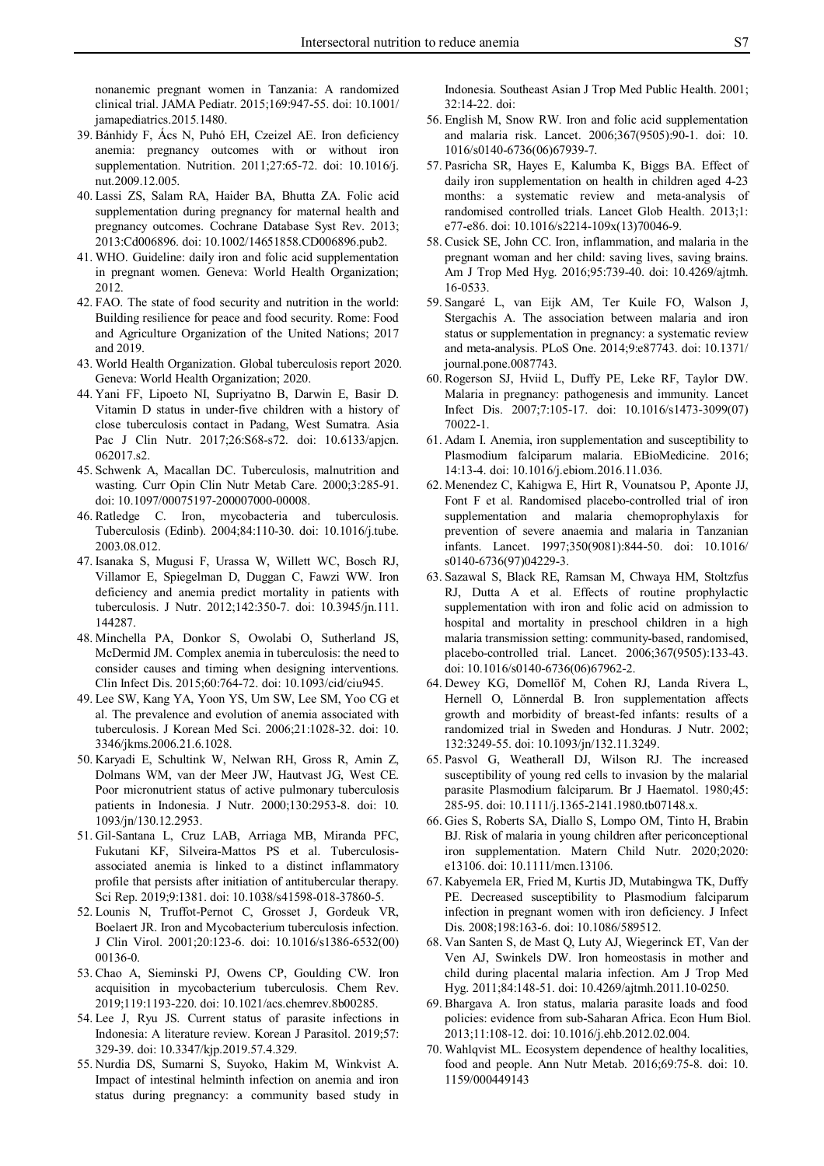nonanemic pregnant women in Tanzania: A randomized clinical trial. JAMA Pediatr. 2015;169:947-55. doi: 10.1001/ jamapediatrics.2015.1480.

- 39. Bánhidy F, Ács N, Puhó EH, Czeizel AE. Iron deficiency anemia: pregnancy outcomes with or without iron supplementation. Nutrition. 2011;27:65-72. doi: 10.1016/j. nut.2009.12.005.
- 40. Lassi ZS, Salam RA, Haider BA, Bhutta ZA. Folic acid supplementation during pregnancy for maternal health and pregnancy outcomes. Cochrane Database Syst Rev. 2013; 2013:Cd006896. doi: 10.1002/14651858.CD006896.pub2.
- 41. WHO. Guideline: daily iron and folic acid supplementation in pregnant women. Geneva: World Health Organization; 2012.
- 42. FAO. The state of food security and nutrition in the world: Building resilience for peace and food security. Rome: Food and Agriculture Organization of the United Nations; 2017 and 2019.
- 43. World Health Organization. Global tuberculosis report 2020. Geneva: World Health Organization; 2020.
- 44. Yani FF, Lipoeto NI, Supriyatno B, Darwin E, Basir D. Vitamin D status in under-five children with a history of close tuberculosis contact in Padang, West Sumatra. Asia Pac J Clin Nutr. 2017;26:S68-s72. doi: 10.6133/apjcn. 062017.s2.
- 45. Schwenk A, Macallan DC. Tuberculosis, malnutrition and wasting. Curr Opin Clin Nutr Metab Care. 2000;3:285-91. doi: 10.1097/00075197-200007000-00008.
- 46. Ratledge C. Iron, mycobacteria and tuberculosis. Tuberculosis (Edinb). 2004;84:110-30. doi: 10.1016/j.tube. 2003.08.012.
- 47. Isanaka S, Mugusi F, Urassa W, Willett WC, Bosch RJ, Villamor E, Spiegelman D, Duggan C, Fawzi WW. Iron deficiency and anemia predict mortality in patients with tuberculosis. J Nutr. 2012;142:350-7. doi: 10.3945/jn.111. 144287.
- 48. Minchella PA, Donkor S, Owolabi O, Sutherland JS, McDermid JM. Complex anemia in tuberculosis: the need to consider causes and timing when designing interventions. Clin Infect Dis. 2015;60:764-72. doi: 10.1093/cid/ciu945.
- 49. Lee SW, Kang YA, Yoon YS, Um SW, Lee SM, Yoo CG et al. The prevalence and evolution of anemia associated with tuberculosis. J Korean Med Sci. 2006;21:1028-32. doi: 10. 3346/jkms.2006.21.6.1028.
- 50. Karyadi E, Schultink W, Nelwan RH, Gross R, Amin Z, Dolmans WM, van der Meer JW, Hautvast JG, West CE. Poor micronutrient status of active pulmonary tuberculosis patients in Indonesia. J Nutr. 2000;130:2953-8. doi: 10. 1093/jn/130.12.2953.
- 51. Gil-Santana L, Cruz LAB, Arriaga MB, Miranda PFC, Fukutani KF, Silveira-Mattos PS et al. Tuberculosisassociated anemia is linked to a distinct inflammatory profile that persists after initiation of antitubercular therapy. Sci Rep. 2019;9:1381. doi: 10.1038/s41598-018-37860-5.
- 52. Lounis N, Truffot-Pernot C, Grosset J, Gordeuk VR, Boelaert JR. Iron and Mycobacterium tuberculosis infection. J Clin Virol. 2001;20:123-6. doi: 10.1016/s1386-6532(00) 00136-0.
- 53. Chao A, Sieminski PJ, Owens CP, Goulding CW. Iron acquisition in mycobacterium tuberculosis. Chem Rev. 2019;119:1193-220. doi: 10.1021/acs.chemrev.8b00285.
- 54. Lee J, Ryu JS. Current status of parasite infections in Indonesia: A literature review. Korean J Parasitol. 2019;57: 329-39. doi: 10.3347/kjp.2019.57.4.329.
- 55. Nurdia DS, Sumarni S, Suyoko, Hakim M, Winkvist A. Impact of intestinal helminth infection on anemia and iron status during pregnancy: a community based study in

Indonesia. Southeast Asian J Trop Med Public Health. 2001; 32:14-22. doi:

- 56. English M, Snow RW. Iron and folic acid supplementation and malaria risk. Lancet. 2006;367(9505):90-1. doi: 10. 1016/s0140-6736(06)67939-7.
- 57. Pasricha SR, Hayes E, Kalumba K, Biggs BA. Effect of daily iron supplementation on health in children aged 4-23 months: a systematic review and meta-analysis of randomised controlled trials. Lancet Glob Health. 2013;1: e77-e86. doi: 10.1016/s2214-109x(13)70046-9.
- 58. Cusick SE, John CC. Iron, inflammation, and malaria in the pregnant woman and her child: saving lives, saving brains. Am J Trop Med Hyg. 2016;95:739-40. doi: 10.4269/ajtmh. 16-0533.
- 59. Sangaré L, van Eijk AM, Ter Kuile FO, Walson J, Stergachis A. The association between malaria and iron status or supplementation in pregnancy: a systematic review and meta-analysis. PLoS One. 2014;9:e87743. doi: 10.1371/ journal.pone.0087743.
- 60. Rogerson SJ, Hviid L, Duffy PE, Leke RF, Taylor DW. Malaria in pregnancy: pathogenesis and immunity. Lancet Infect Dis. 2007;7:105-17. doi: 10.1016/s1473-3099(07) 70022-1.
- 61. Adam I. Anemia, iron supplementation and susceptibility to Plasmodium falciparum malaria. EBioMedicine. 2016; 14:13-4. doi: 10.1016/j.ebiom.2016.11.036.
- 62. Menendez C, Kahigwa E, Hirt R, Vounatsou P, Aponte JJ, Font F et al. Randomised placebo-controlled trial of iron supplementation and malaria chemoprophylaxis for prevention of severe anaemia and malaria in Tanzanian infants. Lancet. 1997;350(9081):844-50. doi: 10.1016/ s0140-6736(97)04229-3.
- 63. Sazawal S, Black RE, Ramsan M, Chwaya HM, Stoltzfus RJ, Dutta A et al. Effects of routine prophylactic supplementation with iron and folic acid on admission to hospital and mortality in preschool children in a high malaria transmission setting: community-based, randomised, placebo-controlled trial. Lancet. 2006;367(9505):133-43. doi: 10.1016/s0140-6736(06)67962-2.
- 64. Dewey KG, Domellöf M, Cohen RJ, Landa Rivera L, Hernell O, Lönnerdal B. Iron supplementation affects growth and morbidity of breast-fed infants: results of a randomized trial in Sweden and Honduras. J Nutr. 2002; 132:3249-55. doi: 10.1093/jn/132.11.3249.
- 65. Pasvol G, Weatherall DJ, Wilson RJ. The increased susceptibility of young red cells to invasion by the malarial parasite Plasmodium falciparum. Br J Haematol. 1980;45: 285-95. doi: 10.1111/j.1365-2141.1980.tb07148.x.
- 66. Gies S, Roberts SA, Diallo S, Lompo OM, Tinto H, Brabin BJ. Risk of malaria in young children after periconceptional iron supplementation. Matern Child Nutr. 2020;2020: e13106. doi: 10.1111/mcn.13106.
- 67. Kabyemela ER, Fried M, Kurtis JD, Mutabingwa TK, Duffy PE. Decreased susceptibility to Plasmodium falciparum infection in pregnant women with iron deficiency. J Infect Dis. 2008;198:163-6. doi: 10.1086/589512.
- 68. Van Santen S, de Mast Q, Luty AJ, Wiegerinck ET, Van der Ven AJ, Swinkels DW. Iron homeostasis in mother and child during placental malaria infection. Am J Trop Med Hyg. 2011;84:148-51. doi: 10.4269/ajtmh.2011.10-0250.
- 69. Bhargava A. Iron status, malaria parasite loads and food policies: evidence from sub-Saharan Africa. Econ Hum Biol. 2013;11:108-12. doi: 10.1016/j.ehb.2012.02.004.
- 70. Wahlqvist ML. Ecosystem dependence of healthy localities, food and people. Ann Nutr Metab. 2016;69:75-8. doi: 10. 1159/000449143